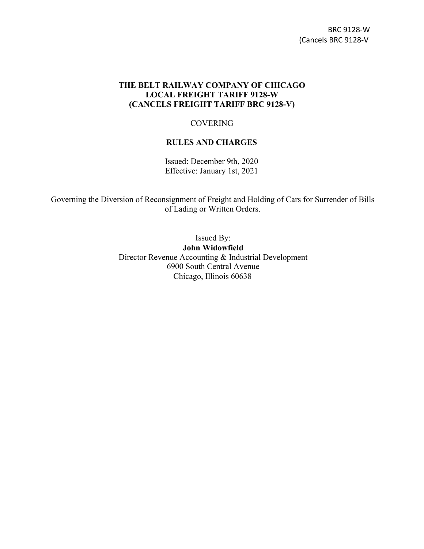## **THE BELT RAILWAY COMPANY OF CHICAGO LOCAL FREIGHT TARIFF 9128-W (CANCELS FREIGHT TARIFF BRC 9128-V)**

## **COVERING**

## **RULES AND CHARGES**

Issued: December 9th, 2020 Effective: January 1st, 2021

Governing the Diversion of Reconsignment of Freight and Holding of Cars for Surrender of Bills of Lading or Written Orders.

> Issued By: **John Widowfield** Director Revenue Accounting & Industrial Development 6900 South Central Avenue Chicago, Illinois 60638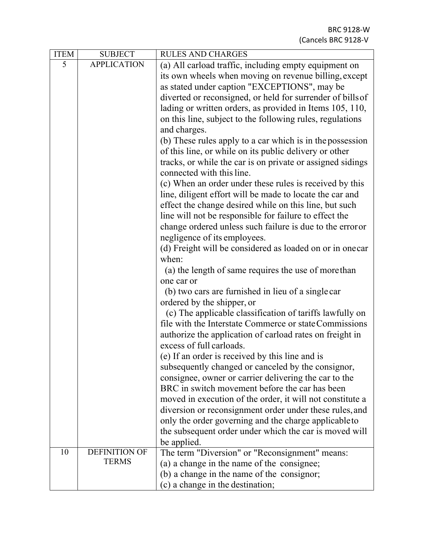| <b>ITEM</b> | <b>SUBJECT</b>       | <b>RULES AND CHARGES</b>                                   |
|-------------|----------------------|------------------------------------------------------------|
| 5           | <b>APPLICATION</b>   | (a) All carload traffic, including empty equipment on      |
|             |                      | its own wheels when moving on revenue billing, except      |
|             |                      | as stated under caption "EXCEPTIONS", may be               |
|             |                      | diverted or reconsigned, or held for surrender of bills of |
|             |                      | lading or written orders, as provided in Items 105, 110,   |
|             |                      | on this line, subject to the following rules, regulations  |
|             |                      | and charges.                                               |
|             |                      | (b) These rules apply to a car which is in the possession  |
|             |                      | of this line, or while on its public delivery or other     |
|             |                      | tracks, or while the car is on private or assigned sidings |
|             |                      | connected with this line.                                  |
|             |                      | (c) When an order under these rules is received by this    |
|             |                      | line, diligent effort will be made to locate the car and   |
|             |                      | effect the change desired while on this line, but such     |
|             |                      | line will not be responsible for failure to effect the     |
|             |                      | change ordered unless such failure is due to the error or  |
|             |                      | negligence of its employees.                               |
|             |                      | (d) Freight will be considered as loaded on or in one car  |
|             |                      | when:                                                      |
|             |                      | (a) the length of same requires the use of more than       |
|             |                      | one car or                                                 |
|             |                      | (b) two cars are furnished in lieu of a single car         |
|             |                      | ordered by the shipper, or                                 |
|             |                      | (c) The applicable classification of tariffs lawfully on   |
|             |                      | file with the Interstate Commerce or state Commissions     |
|             |                      | authorize the application of carload rates on freight in   |
|             |                      | excess of full carloads.                                   |
|             |                      | (e) If an order is received by this line and is            |
|             |                      | subsequently changed or canceled by the consignor,         |
|             |                      | consignee, owner or carrier delivering the car to the      |
|             |                      | BRC in switch movement before the car has been             |
|             |                      | moved in execution of the order, it will not constitute a  |
|             |                      | diversion or reconsignment order under these rules, and    |
|             |                      | only the order governing and the charge applicable to      |
|             |                      | the subsequent order under which the car is moved will     |
|             |                      | be applied.                                                |
| 10          | <b>DEFINITION OF</b> | The term "Diversion" or "Reconsignment" means:             |
|             | <b>TERMS</b>         | (a) a change in the name of the consignee;                 |
|             |                      | (b) a change in the name of the consignor;                 |
|             |                      | (c) a change in the destination;                           |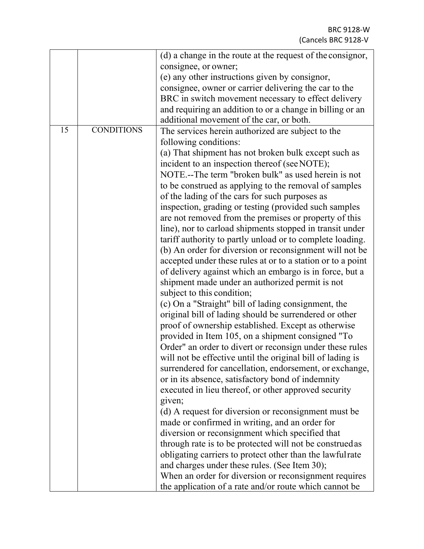| 15<br><b>CONDITIONS</b><br>The services herein authorized are subject to the<br>following conditions:<br>(a) That shipment has not broken bulk except such as<br>incident to an inspection thereof (see NOTE);<br>NOTE.--The term "broken bulk" as used herein is not<br>to be construed as applying to the removal of samples<br>of the lading of the cars for such purposes as<br>inspection, grading or testing (provided such samples<br>are not removed from the premises or property of this<br>line), nor to carload shipments stopped in transit under<br>tariff authority to partly unload or to complete loading.<br>(b) An order for diversion or reconsignment will not be<br>accepted under these rules at or to a station or to a point<br>of delivery against which an embargo is in force, but a<br>shipment made under an authorized permit is not<br>subject to this condition;<br>(c) On a "Straight" bill of lading consignment, the<br>original bill of lading should be surrendered or other<br>proof of ownership established. Except as otherwise<br>provided in Item 105, on a shipment consigned "To<br>Order" an order to divert or reconsign under these rules<br>will not be effective until the original bill of lading is<br>surrendered for cancellation, endorsement, or exchange,<br>or in its absence, satisfactory bond of indemnity<br>executed in lieu thereof, or other approved security<br>given;<br>(d) A request for diversion or reconsignment must be<br>made or confirmed in writing, and an order for |
|------------------------------------------------------------------------------------------------------------------------------------------------------------------------------------------------------------------------------------------------------------------------------------------------------------------------------------------------------------------------------------------------------------------------------------------------------------------------------------------------------------------------------------------------------------------------------------------------------------------------------------------------------------------------------------------------------------------------------------------------------------------------------------------------------------------------------------------------------------------------------------------------------------------------------------------------------------------------------------------------------------------------------------------------------------------------------------------------------------------------------------------------------------------------------------------------------------------------------------------------------------------------------------------------------------------------------------------------------------------------------------------------------------------------------------------------------------------------------------------------------------------------------------------------------|
| diversion or reconsignment which specified that<br>through rate is to be protected will not be construed as<br>obligating carriers to protect other than the lawfulrate<br>and charges under these rules. (See Item 30);<br>When an order for diversion or reconsignment requires<br>the application of a rate and/or route which cannot be                                                                                                                                                                                                                                                                                                                                                                                                                                                                                                                                                                                                                                                                                                                                                                                                                                                                                                                                                                                                                                                                                                                                                                                                          |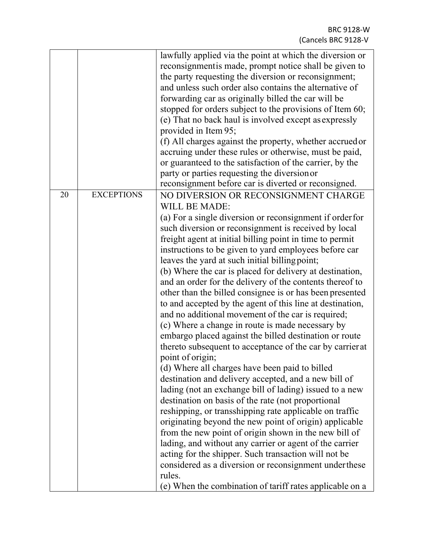|    |                   | lawfully applied via the point at which the diversion or<br>reconsignment is made, prompt notice shall be given to<br>the party requesting the diversion or reconsignment;<br>and unless such order also contains the alternative of<br>forwarding car as originally billed the car will be<br>stopped for orders subject to the provisions of Item 60;<br>(e) That no back haul is involved except as expressly<br>provided in Item 95;<br>(f) All charges against the property, whether accrued or<br>accruing under these rules or otherwise, must be paid,<br>or guaranteed to the satisfaction of the carrier, by the<br>party or parties requesting the diversion or<br>reconsignment before car is diverted or reconsigned.                                                                                                                                                                                                                                                                                                                                                                                                                                                                                                                                                                                                                                                                                                                                                                                        |
|----|-------------------|---------------------------------------------------------------------------------------------------------------------------------------------------------------------------------------------------------------------------------------------------------------------------------------------------------------------------------------------------------------------------------------------------------------------------------------------------------------------------------------------------------------------------------------------------------------------------------------------------------------------------------------------------------------------------------------------------------------------------------------------------------------------------------------------------------------------------------------------------------------------------------------------------------------------------------------------------------------------------------------------------------------------------------------------------------------------------------------------------------------------------------------------------------------------------------------------------------------------------------------------------------------------------------------------------------------------------------------------------------------------------------------------------------------------------------------------------------------------------------------------------------------------------|
| 20 | <b>EXCEPTIONS</b> | NO DIVERSION OR RECONSIGNMENT CHARGE<br><b>WILL BE MADE:</b><br>(a) For a single diversion or reconsignment if order for<br>such diversion or reconsignment is received by local<br>freight agent at initial billing point in time to permit<br>instructions to be given to yard employees before car<br>leaves the yard at such initial billing point;<br>(b) Where the car is placed for delivery at destination,<br>and an order for the delivery of the contents thereof to<br>other than the billed consignee is or has been presented<br>to and accepted by the agent of this line at destination,<br>and no additional movement of the car is required;<br>(c) Where a change in route is made necessary by<br>embargo placed against the billed destination or route<br>thereto subsequent to acceptance of the car by carrier at<br>point of origin;<br>(d) Where all charges have been paid to billed<br>destination and delivery accepted, and a new bill of<br>lading (not an exchange bill of lading) issued to a new<br>destination on basis of the rate (not proportional<br>reshipping, or transshipping rate applicable on traffic<br>originating beyond the new point of origin) applicable<br>from the new point of origin shown in the new bill of<br>lading, and without any carrier or agent of the carrier<br>acting for the shipper. Such transaction will not be<br>considered as a diversion or reconsignment under these<br>rules.<br>(e) When the combination of tariff rates applicable on a |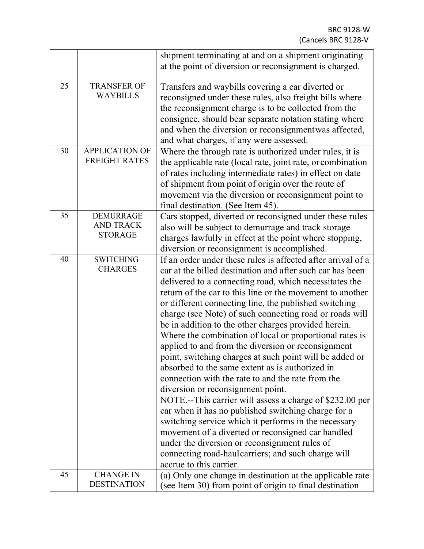|    |                                                        | shipment terminating at and on a shipment originating<br>at the point of diversion or reconsignment is charged.                                                                                                                                                                                                                                                                                                                                                                                                                                                                                                                                                                                                                                                                                                                                                                                                                                                                                                                                                                                                         |
|----|--------------------------------------------------------|-------------------------------------------------------------------------------------------------------------------------------------------------------------------------------------------------------------------------------------------------------------------------------------------------------------------------------------------------------------------------------------------------------------------------------------------------------------------------------------------------------------------------------------------------------------------------------------------------------------------------------------------------------------------------------------------------------------------------------------------------------------------------------------------------------------------------------------------------------------------------------------------------------------------------------------------------------------------------------------------------------------------------------------------------------------------------------------------------------------------------|
| 25 | <b>TRANSFER OF</b><br><b>WAYBILLS</b>                  | Transfers and waybills covering a car diverted or<br>reconsigned under these rules, also freight bills where<br>the reconsignment charge is to be collected from the<br>consignee, should bear separate notation stating where<br>and when the diversion or reconsignmentwas affected,<br>and what charges, if any were assessed.                                                                                                                                                                                                                                                                                                                                                                                                                                                                                                                                                                                                                                                                                                                                                                                       |
| 30 | <b>APPLICATION OF</b><br><b>FREIGHT RATES</b>          | Where the through rate is authorized under rules, it is<br>the applicable rate (local rate, joint rate, or combination<br>of rates including intermediate rates) in effect on date<br>of shipment from point of origin over the route of<br>movement via the diversion or reconsignment point to<br>final destination. (See Item 45).                                                                                                                                                                                                                                                                                                                                                                                                                                                                                                                                                                                                                                                                                                                                                                                   |
| 35 | <b>DEMURRAGE</b><br><b>AND TRACK</b><br><b>STORAGE</b> | Cars stopped, diverted or reconsigned under these rules<br>also will be subject to demurrage and track storage<br>charges lawfully in effect at the point where stopping,<br>diversion or reconsignment is accomplished.                                                                                                                                                                                                                                                                                                                                                                                                                                                                                                                                                                                                                                                                                                                                                                                                                                                                                                |
| 40 | <b>SWITCHING</b><br><b>CHARGES</b>                     | If an order under these rules is affected after arrival of a<br>car at the billed destination and after such car has been<br>delivered to a connecting road, which necessitates the<br>return of the car to this line or the movement to another<br>or different connecting line, the published switching<br>charge (see Note) of such connecting road or roads will<br>be in addition to the other charges provided herein.<br>Where the combination of local or proportional rates is<br>applied to and from the diversion or reconsignment<br>point, switching charges at such point will be added or<br>absorbed to the same extent as is authorized in<br>connection with the rate to and the rate from the<br>diversion or reconsignment point.<br>NOTE.--This carrier will assess a charge of \$232.00 per<br>car when it has no published switching charge for a<br>switching service which it performs in the necessary<br>movement of a diverted or reconsigned car handled<br>under the diversion or reconsignment rules of<br>connecting road-haulcarriers; and such charge will<br>accrue to this carrier. |
| 45 | <b>CHANGE IN</b><br><b>DESTINATION</b>                 | (a) Only one change in destination at the applicable rate<br>(see Item 30) from point of origin to final destination                                                                                                                                                                                                                                                                                                                                                                                                                                                                                                                                                                                                                                                                                                                                                                                                                                                                                                                                                                                                    |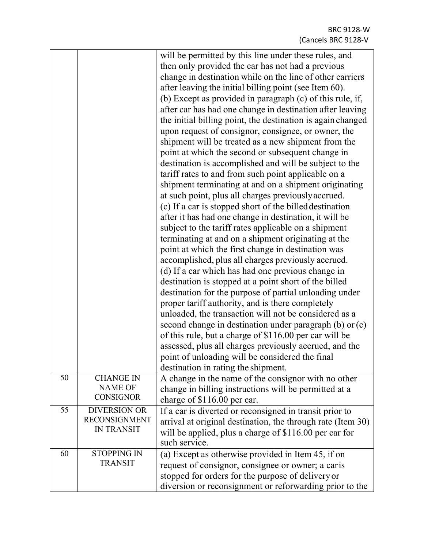|    |                                                                  | will be permitted by this line under these rules, and<br>then only provided the car has not had a previous<br>change in destination while on the line of other carriers<br>after leaving the initial billing point (see Item 60).<br>(b) Except as provided in paragraph (c) of this rule, if,<br>after car has had one change in destination after leaving<br>the initial billing point, the destination is again changed<br>upon request of consignor, consignee, or owner, the<br>shipment will be treated as a new shipment from the<br>point at which the second or subsequent change in<br>destination is accomplished and will be subject to the<br>tariff rates to and from such point applicable on a<br>shipment terminating at and on a shipment originating<br>at such point, plus all charges previously accrued.<br>(c) If a car is stopped short of the billed destination<br>after it has had one change in destination, it will be<br>subject to the tariff rates applicable on a shipment<br>terminating at and on a shipment originating at the<br>point at which the first change in destination was<br>accomplished, plus all charges previously accrued.<br>(d) If a car which has had one previous change in<br>destination is stopped at a point short of the billed<br>destination for the purpose of partial unloading under<br>proper tariff authority, and is there completely<br>unloaded, the transaction will not be considered as a<br>second change in destination under paragraph $(b)$ or $(c)$<br>of this rule, but a charge of \$116.00 per car will be<br>assessed, plus all charges previously accrued, and the<br>point of unloading will be considered the final<br>destination in rating the shipment. |
|----|------------------------------------------------------------------|--------------------------------------------------------------------------------------------------------------------------------------------------------------------------------------------------------------------------------------------------------------------------------------------------------------------------------------------------------------------------------------------------------------------------------------------------------------------------------------------------------------------------------------------------------------------------------------------------------------------------------------------------------------------------------------------------------------------------------------------------------------------------------------------------------------------------------------------------------------------------------------------------------------------------------------------------------------------------------------------------------------------------------------------------------------------------------------------------------------------------------------------------------------------------------------------------------------------------------------------------------------------------------------------------------------------------------------------------------------------------------------------------------------------------------------------------------------------------------------------------------------------------------------------------------------------------------------------------------------------------------------------------------------------------------------------------------------------------------------------------|
| 50 | <b>CHANGE IN</b><br><b>NAME OF</b><br><b>CONSIGNOR</b>           | A change in the name of the consignor with no other<br>change in billing instructions will be permitted at a<br>charge of \$116.00 per car.                                                                                                                                                                                                                                                                                                                                                                                                                                                                                                                                                                                                                                                                                                                                                                                                                                                                                                                                                                                                                                                                                                                                                                                                                                                                                                                                                                                                                                                                                                                                                                                                      |
| 55 | <b>DIVERSION OR</b><br><b>RECONSIGNMENT</b><br><b>IN TRANSIT</b> | If a car is diverted or reconsigned in transit prior to<br>arrival at original destination, the through rate (Item 30)<br>will be applied, plus a charge of \$116.00 per car for<br>such service.                                                                                                                                                                                                                                                                                                                                                                                                                                                                                                                                                                                                                                                                                                                                                                                                                                                                                                                                                                                                                                                                                                                                                                                                                                                                                                                                                                                                                                                                                                                                                |
| 60 | <b>STOPPING IN</b><br><b>TRANSIT</b>                             | (a) Except as otherwise provided in Item 45, if on<br>request of consignor, consignee or owner; a caris<br>stopped for orders for the purpose of delivery or<br>diversion or reconsignment or reforwarding prior to the                                                                                                                                                                                                                                                                                                                                                                                                                                                                                                                                                                                                                                                                                                                                                                                                                                                                                                                                                                                                                                                                                                                                                                                                                                                                                                                                                                                                                                                                                                                          |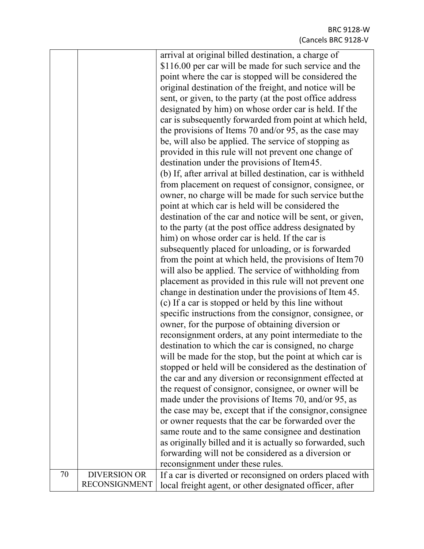| arrival at original billed destination, a charge of                                                                        |  |
|----------------------------------------------------------------------------------------------------------------------------|--|
| \$116.00 per car will be made for such service and the                                                                     |  |
| point where the car is stopped will be considered the                                                                      |  |
| original destination of the freight, and notice will be                                                                    |  |
| sent, or given, to the party (at the post office address                                                                   |  |
| designated by him) on whose order car is held. If the                                                                      |  |
| car is subsequently forwarded from point at which held,                                                                    |  |
|                                                                                                                            |  |
| the provisions of Items 70 and/or 95, as the case may                                                                      |  |
| be, will also be applied. The service of stopping as                                                                       |  |
| provided in this rule will not prevent one change of                                                                       |  |
| destination under the provisions of Item 45.                                                                               |  |
| (b) If, after arrival at billed destination, car is withheld                                                               |  |
| from placement on request of consignor, consignee, or                                                                      |  |
| owner, no charge will be made for such service but the                                                                     |  |
| point at which car is held will be considered the                                                                          |  |
| destination of the car and notice will be sent, or given,                                                                  |  |
| to the party (at the post office address designated by                                                                     |  |
| him) on whose order car is held. If the car is                                                                             |  |
| subsequently placed for unloading, or is forwarded                                                                         |  |
| from the point at which held, the provisions of Item 70                                                                    |  |
| will also be applied. The service of withholding from                                                                      |  |
| placement as provided in this rule will not prevent one                                                                    |  |
| change in destination under the provisions of Item 45.                                                                     |  |
| (c) If a car is stopped or held by this line without                                                                       |  |
| specific instructions from the consignor, consignee, or                                                                    |  |
|                                                                                                                            |  |
| owner, for the purpose of obtaining diversion or                                                                           |  |
| reconsignment orders, at any point intermediate to the                                                                     |  |
| destination to which the car is consigned, no charge                                                                       |  |
| will be made for the stop, but the point at which car is                                                                   |  |
| stopped or held will be considered as the destination of                                                                   |  |
| the car and any diversion or reconsignment effected at                                                                     |  |
| the request of consignor, consignee, or owner will be                                                                      |  |
| made under the provisions of Items 70, and/or 95, as                                                                       |  |
| the case may be, except that if the consignor, consignee                                                                   |  |
| or owner requests that the car be forwarded over the                                                                       |  |
| same route and to the same consignee and destination                                                                       |  |
| as originally billed and it is actually so forwarded, such                                                                 |  |
|                                                                                                                            |  |
|                                                                                                                            |  |
| forwarding will not be considered as a diversion or                                                                        |  |
| reconsignment under these rules.<br><b>DIVERSION OR</b><br>70<br>If a car is diverted or reconsigned on orders placed with |  |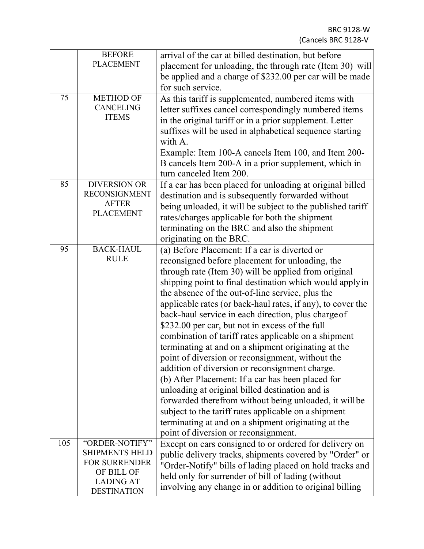|     | <b>BEFORE</b>                      | arrival of the car at billed destination, but before        |
|-----|------------------------------------|-------------------------------------------------------------|
|     | <b>PLACEMENT</b>                   | placement for unloading, the through rate (Item 30) will    |
|     |                                    | be applied and a charge of \$232.00 per car will be made    |
|     |                                    | for such service.                                           |
| 75  | <b>METHOD OF</b>                   | As this tariff is supplemented, numbered items with         |
|     | <b>CANCELING</b>                   | letter suffixes cancel correspondingly numbered items       |
|     | <b>ITEMS</b>                       | in the original tariff or in a prior supplement. Letter     |
|     |                                    | suffixes will be used in alphabetical sequence starting     |
|     |                                    | with A.                                                     |
|     |                                    | Example: Item 100-A cancels Item 100, and Item 200-         |
|     |                                    | B cancels Item 200-A in a prior supplement, which in        |
|     |                                    | turn canceled Item 200.                                     |
| 85  | <b>DIVERSION OR</b>                | If a car has been placed for unloading at original billed   |
|     | <b>RECONSIGNMENT</b>               | destination and is subsequently forwarded without           |
|     | <b>AFTER</b>                       | being unloaded, it will be subject to the published tariff  |
|     | <b>PLACEMENT</b>                   | rates/charges applicable for both the shipment              |
|     |                                    | terminating on the BRC and also the shipment                |
|     |                                    | originating on the BRC.                                     |
| 95  | <b>BACK-HAUL</b>                   | (a) Before Placement: If a car is diverted or               |
|     | <b>RULE</b>                        | reconsigned before placement for unloading, the             |
|     |                                    | through rate (Item 30) will be applied from original        |
|     |                                    | shipping point to final destination which would apply in    |
|     |                                    | the absence of the out-of-line service, plus the            |
|     |                                    | applicable rates (or back-haul rates, if any), to cover the |
|     |                                    | back-haul service in each direction, plus charge of         |
|     |                                    | \$232.00 per car, but not in excess of the full             |
|     |                                    | combination of tariff rates applicable on a shipment        |
|     |                                    | terminating at and on a shipment originating at the         |
|     |                                    |                                                             |
|     |                                    | point of diversion or reconsignment, without the            |
|     |                                    | addition of diversion or reconsignment charge.              |
|     |                                    | (b) After Placement: If a car has been placed for           |
|     |                                    | unloading at original billed destination and is             |
|     |                                    | forwarded therefrom without being unloaded, it will be      |
|     |                                    | subject to the tariff rates applicable on a shipment        |
|     |                                    | terminating at and on a shipment originating at the         |
|     |                                    | point of diversion or reconsignment.                        |
| 105 | "ORDER-NOTIFY"                     | Except on cars consigned to or ordered for delivery on      |
|     | <b>SHIPMENTS HELD</b>              | public delivery tracks, shipments covered by "Order" or     |
|     | <b>FOR SURRENDER</b><br>OF BILL OF | "Order-Notify" bills of lading placed on hold tracks and    |
|     | <b>LADING AT</b>                   | held only for surrender of bill of lading (without          |
|     | <b>DESTINATION</b>                 | involving any change in or addition to original billing     |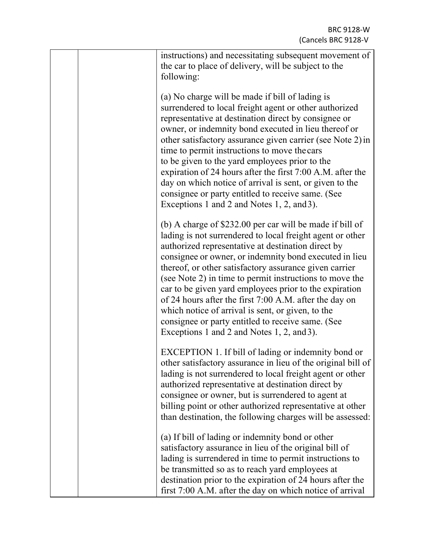| instructions) and necessitating subsequent movement of<br>the car to place of delivery, will be subject to the<br>following:                                                                                                                                                                                                                                                                                                                                                                                                                                                                                                           |
|----------------------------------------------------------------------------------------------------------------------------------------------------------------------------------------------------------------------------------------------------------------------------------------------------------------------------------------------------------------------------------------------------------------------------------------------------------------------------------------------------------------------------------------------------------------------------------------------------------------------------------------|
| (a) No charge will be made if bill of lading is<br>surrendered to local freight agent or other authorized<br>representative at destination direct by consignee or<br>owner, or indemnity bond executed in lieu thereof or<br>other satisfactory assurance given carrier (see Note 2) in<br>time to permit instructions to move the cars<br>to be given to the yard employees prior to the<br>expiration of 24 hours after the first 7:00 A.M. after the<br>day on which notice of arrival is sent, or given to the<br>consignee or party entitled to receive same. (See<br>Exceptions 1 and 2 and Notes 1, 2, and 3).                  |
| (b) A charge of \$232.00 per car will be made if bill of<br>lading is not surrendered to local freight agent or other<br>authorized representative at destination direct by<br>consignee or owner, or indemnity bond executed in lieu<br>thereof, or other satisfactory assurance given carrier<br>(see Note 2) in time to permit instructions to move the<br>car to be given yard employees prior to the expiration<br>of 24 hours after the first 7:00 A.M. after the day on<br>which notice of arrival is sent, or given, to the<br>consignee or party entitled to receive same. (See<br>Exceptions 1 and 2 and Notes 1, 2, and 3). |
| EXCEPTION 1. If bill of lading or indemnity bond or<br>other satisfactory assurance in lieu of the original bill of<br>lading is not surrendered to local freight agent or other<br>authorized representative at destination direct by<br>consignee or owner, but is surrendered to agent at<br>billing point or other authorized representative at other<br>than destination, the following charges will be assessed:                                                                                                                                                                                                                 |
| (a) If bill of lading or indemnity bond or other<br>satisfactory assurance in lieu of the original bill of<br>lading is surrendered in time to permit instructions to<br>be transmitted so as to reach yard employees at<br>destination prior to the expiration of 24 hours after the<br>first 7:00 A.M. after the day on which notice of arrival                                                                                                                                                                                                                                                                                      |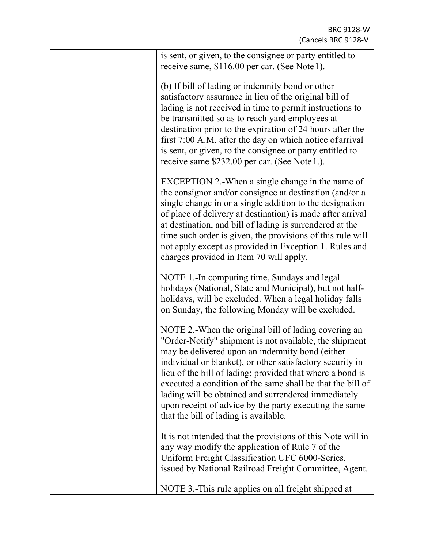|  | is sent, or given, to the consignee or party entitled to<br>receive same, \$116.00 per car. (See Note 1).                                                                                                                                                                                                                                                                                                                                                                                                           |
|--|---------------------------------------------------------------------------------------------------------------------------------------------------------------------------------------------------------------------------------------------------------------------------------------------------------------------------------------------------------------------------------------------------------------------------------------------------------------------------------------------------------------------|
|  | (b) If bill of lading or indemnity bond or other<br>satisfactory assurance in lieu of the original bill of<br>lading is not received in time to permit instructions to<br>be transmitted so as to reach yard employees at<br>destination prior to the expiration of 24 hours after the<br>first 7:00 A.M. after the day on which notice of arrival<br>is sent, or given, to the consignee or party entitled to<br>receive same \$232.00 per car. (See Note 1.).                                                     |
|  | EXCEPTION 2.-When a single change in the name of<br>the consignor and/or consignee at destination (and/or a<br>single change in or a single addition to the designation<br>of place of delivery at destination) is made after arrival<br>at destination, and bill of lading is surrendered at the<br>time such order is given, the provisions of this rule will<br>not apply except as provided in Exception 1. Rules and<br>charges provided in Item 70 will apply.                                                |
|  | NOTE 1.-In computing time, Sundays and legal<br>holidays (National, State and Municipal), but not half-<br>holidays, will be excluded. When a legal holiday falls<br>on Sunday, the following Monday will be excluded.                                                                                                                                                                                                                                                                                              |
|  | NOTE 2.-When the original bill of lading covering an<br>"Order-Notify" shipment is not available, the shipment<br>may be delivered upon an indemnity bond (either<br>individual or blanket), or other satisfactory security in<br>lieu of the bill of lading; provided that where a bond is<br>executed a condition of the same shall be that the bill of<br>lading will be obtained and surrendered immediately<br>upon receipt of advice by the party executing the same<br>that the bill of lading is available. |
|  | It is not intended that the provisions of this Note will in<br>any way modify the application of Rule 7 of the<br>Uniform Freight Classification UFC 6000-Series,<br>issued by National Railroad Freight Committee, Agent.                                                                                                                                                                                                                                                                                          |
|  | NOTE 3.-This rule applies on all freight shipped at                                                                                                                                                                                                                                                                                                                                                                                                                                                                 |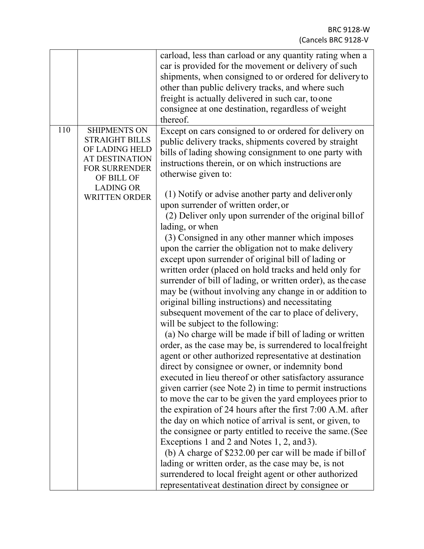|     |                                                                                                                                                                           | carload, less than carload or any quantity rating when a<br>car is provided for the movement or delivery of such<br>shipments, when consigned to or ordered for delivery to<br>other than public delivery tracks, and where such<br>freight is actually delivered in such car, to one<br>consignee at one destination, regardless of weight<br>thereof.                                                                                                                                                                                                                                                                                                                                                                                                                                                                                                                                                                                                                                                                                                                                                                                                                                                                                                                                                                                                                                                                                                                                                                                                                                                                                                                                                                                                                             |
|-----|---------------------------------------------------------------------------------------------------------------------------------------------------------------------------|-------------------------------------------------------------------------------------------------------------------------------------------------------------------------------------------------------------------------------------------------------------------------------------------------------------------------------------------------------------------------------------------------------------------------------------------------------------------------------------------------------------------------------------------------------------------------------------------------------------------------------------------------------------------------------------------------------------------------------------------------------------------------------------------------------------------------------------------------------------------------------------------------------------------------------------------------------------------------------------------------------------------------------------------------------------------------------------------------------------------------------------------------------------------------------------------------------------------------------------------------------------------------------------------------------------------------------------------------------------------------------------------------------------------------------------------------------------------------------------------------------------------------------------------------------------------------------------------------------------------------------------------------------------------------------------------------------------------------------------------------------------------------------------|
| 110 | <b>SHIPMENTS ON</b><br><b>STRAIGHT BILLS</b><br>OF LADING HELD<br><b>AT DESTINATION</b><br><b>FOR SURRENDER</b><br>OF BILL OF<br><b>LADING OR</b><br><b>WRITTEN ORDER</b> | Except on cars consigned to or ordered for delivery on<br>public delivery tracks, shipments covered by straight<br>bills of lading showing consignment to one party with<br>instructions therein, or on which instructions are<br>otherwise given to:<br>(1) Notify or advise another party and deliver only<br>upon surrender of written order, or<br>(2) Deliver only upon surrender of the original billof<br>lading, or when<br>(3) Consigned in any other manner which imposes<br>upon the carrier the obligation not to make delivery<br>except upon surrender of original bill of lading or<br>written order (placed on hold tracks and held only for<br>surrender of bill of lading, or written order), as the case<br>may be (without involving any change in or addition to<br>original billing instructions) and necessitating<br>subsequent movement of the car to place of delivery,<br>will be subject to the following:<br>(a) No charge will be made if bill of lading or written<br>order, as the case may be, is surrendered to local freight<br>agent or other authorized representative at destination<br>direct by consignee or owner, or indemnity bond<br>executed in lieu thereof or other satisfactory assurance<br>given carrier (see Note 2) in time to permit instructions<br>to move the car to be given the yard employees prior to<br>the expiration of 24 hours after the first 7:00 A.M. after<br>the day on which notice of arrival is sent, or given, to<br>the consignee or party entitled to receive the same. (See<br>Exceptions 1 and 2 and Notes 1, 2, and 3).<br>(b) A charge of \$232.00 per car will be made if bill of<br>lading or written order, as the case may be, is not<br>surrendered to local freight agent or other authorized |
|     |                                                                                                                                                                           | representative at destination direct by consignee or                                                                                                                                                                                                                                                                                                                                                                                                                                                                                                                                                                                                                                                                                                                                                                                                                                                                                                                                                                                                                                                                                                                                                                                                                                                                                                                                                                                                                                                                                                                                                                                                                                                                                                                                |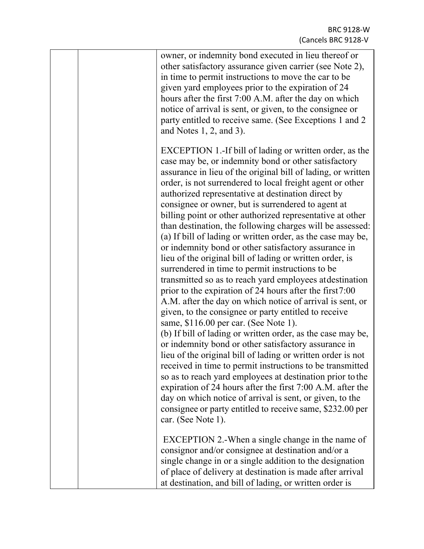| owner, or indemnity bond executed in lieu thereof or<br>other satisfactory assurance given carrier (see Note 2),<br>in time to permit instructions to move the car to be<br>given yard employees prior to the expiration of 24<br>hours after the first 7:00 A.M. after the day on which<br>notice of arrival is sent, or given, to the consignee or<br>party entitled to receive same. (See Exceptions 1 and 2)<br>and Notes $1, 2$ , and $3$ ).                                                                                                                                                                                                                                                                                                                                                                                                                                                                                                                                                                                                                                                                                                                                                                                                                                                                                                                                                                                                                                                                                            |
|----------------------------------------------------------------------------------------------------------------------------------------------------------------------------------------------------------------------------------------------------------------------------------------------------------------------------------------------------------------------------------------------------------------------------------------------------------------------------------------------------------------------------------------------------------------------------------------------------------------------------------------------------------------------------------------------------------------------------------------------------------------------------------------------------------------------------------------------------------------------------------------------------------------------------------------------------------------------------------------------------------------------------------------------------------------------------------------------------------------------------------------------------------------------------------------------------------------------------------------------------------------------------------------------------------------------------------------------------------------------------------------------------------------------------------------------------------------------------------------------------------------------------------------------|
| EXCEPTION 1.-If bill of lading or written order, as the<br>case may be, or indemnity bond or other satisfactory<br>assurance in lieu of the original bill of lading, or written<br>order, is not surrendered to local freight agent or other<br>authorized representative at destination direct by<br>consignee or owner, but is surrendered to agent at<br>billing point or other authorized representative at other<br>than destination, the following charges will be assessed:<br>(a) If bill of lading or written order, as the case may be,<br>or indemnity bond or other satisfactory assurance in<br>lieu of the original bill of lading or written order, is<br>surrendered in time to permit instructions to be<br>transmitted so as to reach yard employees at destination<br>prior to the expiration of 24 hours after the first 7:00<br>A.M. after the day on which notice of arrival is sent, or<br>given, to the consignee or party entitled to receive<br>same, \$116.00 per car. (See Note 1).<br>(b) If bill of lading or written order, as the case may be,<br>or indemnity bond or other satisfactory assurance in<br>lieu of the original bill of lading or written order is not<br>received in time to permit instructions to be transmitted<br>so as to reach yard employees at destination prior to the<br>expiration of 24 hours after the first 7:00 A.M. after the<br>day on which notice of arrival is sent, or given, to the<br>consignee or party entitled to receive same, \$232.00 per<br>car. (See Note 1). |
| EXCEPTION 2.-When a single change in the name of<br>consignor and/or consignee at destination and/or a<br>single change in or a single addition to the designation<br>of place of delivery at destination is made after arrival<br>at destination, and bill of lading, or written order is                                                                                                                                                                                                                                                                                                                                                                                                                                                                                                                                                                                                                                                                                                                                                                                                                                                                                                                                                                                                                                                                                                                                                                                                                                                   |